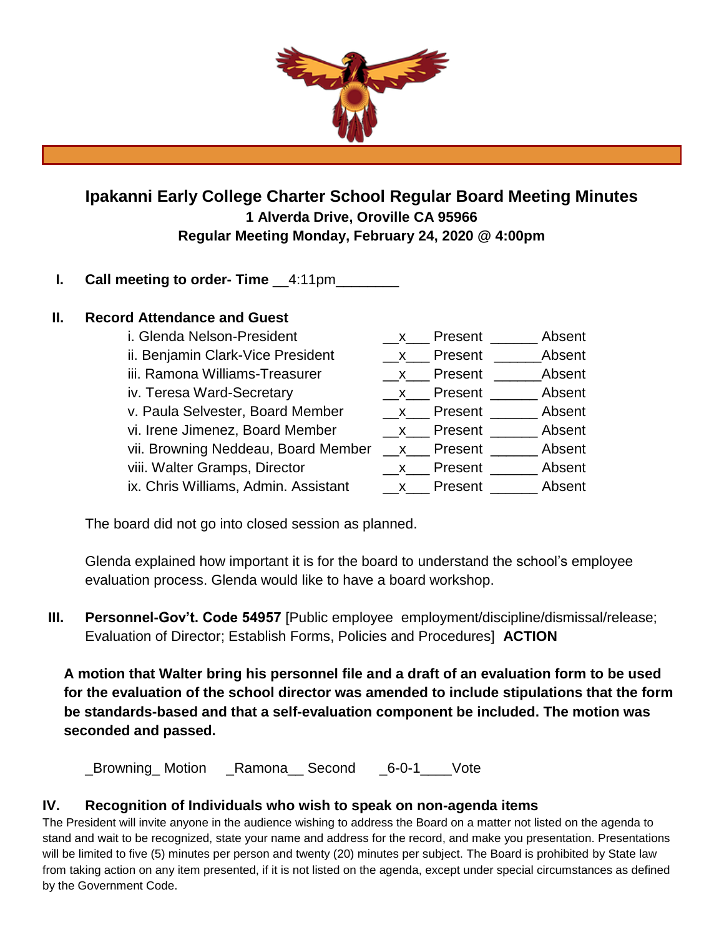

# **Ipakanni Early College Charter School Regular Board Meeting Minutes 1 Alverda Drive, Oroville CA 95966 Regular Meeting Monday, February 24, 2020 @ 4:00pm**

# **I.** Call meeting to order-Time  $4:11$ pm

## **II. Record Attendance and Guest**

| i. Glenda Nelson-President           | $\mathsf{X}$ | Present              | Absent        |
|--------------------------------------|--------------|----------------------|---------------|
| ii. Benjamin Clark-Vice President    | $\mathsf{X}$ | Present              | <b>Absent</b> |
| iii. Ramona Williams-Treasurer       | $\mathsf{X}$ | Present              | <b>Absent</b> |
| iv. Teresa Ward-Secretary            |              | $\mathsf{X}$ Present | Absent        |
| v. Paula Selvester, Board Member     |              | x Present            | Absent        |
| vi. Irene Jimenez, Board Member      |              | x Present            | Absent        |
| vii. Browning Neddeau, Board Member  |              | x Present            | Absent        |
| viii. Walter Gramps, Director        | $\mathsf{X}$ | Present              | Absent        |
| ix. Chris Williams, Admin. Assistant |              | x Present            | Absent        |

The board did not go into closed session as planned.

Glenda explained how important it is for the board to understand the school's employee evaluation process. Glenda would like to have a board workshop.

**III. Personnel-Gov't. Code 54957** [Public employee employment/discipline/dismissal/release; Evaluation of Director; Establish Forms, Policies and Procedures] **ACTION**

**A motion that Walter bring his personnel file and a draft of an evaluation form to be used for the evaluation of the school director was amended to include stipulations that the form be standards-based and that a self-evaluation component be included. The motion was seconded and passed.**

\_Browning\_ Motion \_Ramona\_\_ Second \_6-0-1\_\_\_\_Vote

# **IV. Recognition of Individuals who wish to speak on non-agenda items**

The President will invite anyone in the audience wishing to address the Board on a matter not listed on the agenda to stand and wait to be recognized, state your name and address for the record, and make you presentation. Presentations will be limited to five (5) minutes per person and twenty (20) minutes per subject. The Board is prohibited by State law from taking action on any item presented, if it is not listed on the agenda, except under special circumstances as defined by the Government Code.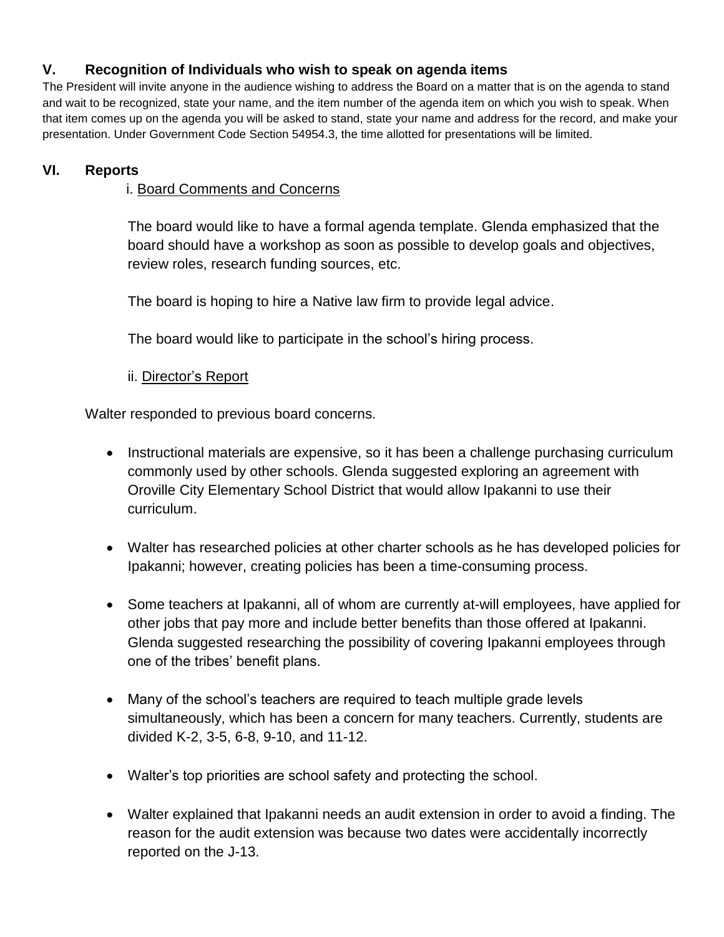# **V. Recognition of Individuals who wish to speak on agenda items**

The President will invite anyone in the audience wishing to address the Board on a matter that is on the agenda to stand and wait to be recognized, state your name, and the item number of the agenda item on which you wish to speak. When that item comes up on the agenda you will be asked to stand, state your name and address for the record, and make your presentation. Under Government Code Section 54954.3, the time allotted for presentations will be limited.

## **VI. Reports**

## i. Board Comments and Concerns

The board would like to have a formal agenda template. Glenda emphasized that the board should have a workshop as soon as possible to develop goals and objectives, review roles, research funding sources, etc.

The board is hoping to hire a Native law firm to provide legal advice.

The board would like to participate in the school's hiring process.

## ii. Director's Report

Walter responded to previous board concerns.

- Instructional materials are expensive, so it has been a challenge purchasing curriculum commonly used by other schools. Glenda suggested exploring an agreement with Oroville City Elementary School District that would allow Ipakanni to use their curriculum.
- Walter has researched policies at other charter schools as he has developed policies for Ipakanni; however, creating policies has been a time-consuming process.
- Some teachers at Ipakanni, all of whom are currently at-will employees, have applied for other jobs that pay more and include better benefits than those offered at Ipakanni. Glenda suggested researching the possibility of covering Ipakanni employees through one of the tribes' benefit plans.
- Many of the school's teachers are required to teach multiple grade levels simultaneously, which has been a concern for many teachers. Currently, students are divided K-2, 3-5, 6-8, 9-10, and 11-12.
- Walter's top priorities are school safety and protecting the school.
- Walter explained that Ipakanni needs an audit extension in order to avoid a finding. The reason for the audit extension was because two dates were accidentally incorrectly reported on the J-13.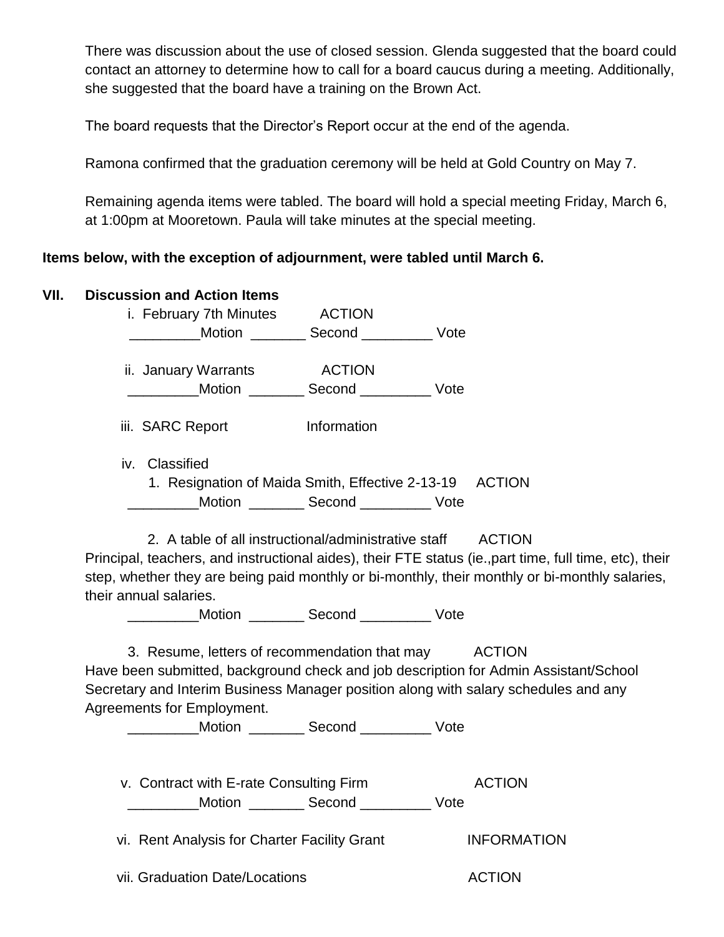There was discussion about the use of closed session. Glenda suggested that the board could contact an attorney to determine how to call for a board caucus during a meeting. Additionally, she suggested that the board have a training on the Brown Act.

The board requests that the Director's Report occur at the end of the agenda.

Ramona confirmed that the graduation ceremony will be held at Gold Country on May 7.

Remaining agenda items were tabled. The board will hold a special meeting Friday, March 6, at 1:00pm at Mooretown. Paula will take minutes at the special meeting.

# **Items below, with the exception of adjournment, were tabled until March 6.**

| VII. | <b>Discussion and Action Items</b>                                                                      |                                                                                                |  |  |  |
|------|---------------------------------------------------------------------------------------------------------|------------------------------------------------------------------------------------------------|--|--|--|
|      | ACTION<br>i. February 7th Minutes                                                                       |                                                                                                |  |  |  |
|      | Motion Second Vote                                                                                      |                                                                                                |  |  |  |
|      | ii. January Warrants<br><b>ACTION</b>                                                                   |                                                                                                |  |  |  |
|      | __________Motion __________ Second ___________ Vote                                                     |                                                                                                |  |  |  |
|      | <b>Information</b><br>iii. SARC Report                                                                  |                                                                                                |  |  |  |
|      | iv. Classified                                                                                          |                                                                                                |  |  |  |
|      | 1. Resignation of Maida Smith, Effective 2-13-19 ACTION                                                 |                                                                                                |  |  |  |
|      | Motion ___________ Second ______________ Vote                                                           |                                                                                                |  |  |  |
|      | 2. A table of all instructional/administrative staff ACTION                                             |                                                                                                |  |  |  |
|      | Principal, teachers, and instructional aides), their FTE status (ie., part time, full time, etc), their |                                                                                                |  |  |  |
|      |                                                                                                         | step, whether they are being paid monthly or bi-monthly, their monthly or bi-monthly salaries, |  |  |  |
|      | their annual salaries.                                                                                  |                                                                                                |  |  |  |
|      | Motion __________ Second ____________ Vote                                                              |                                                                                                |  |  |  |
|      | ACTION<br>3. Resume, letters of recommendation that may                                                 |                                                                                                |  |  |  |
|      |                                                                                                         | Have been submitted, background check and job description for Admin Assistant/School           |  |  |  |
|      |                                                                                                         | Secretary and Interim Business Manager position along with salary schedules and any            |  |  |  |
|      | Agreements for Employment.                                                                              |                                                                                                |  |  |  |
|      | ____________Motion __________ Second ____________ Vote                                                  |                                                                                                |  |  |  |
|      |                                                                                                         | <b>ACTION</b>                                                                                  |  |  |  |
|      | v. Contract with E-rate Consulting Firm<br>Motion ___________ Second ______________ Vote                |                                                                                                |  |  |  |
|      |                                                                                                         |                                                                                                |  |  |  |
|      | vi. Rent Analysis for Charter Facility Grant                                                            | <b>INFORMATION</b>                                                                             |  |  |  |
|      | vii. Graduation Date/Locations                                                                          | <b>ACTION</b>                                                                                  |  |  |  |
|      |                                                                                                         |                                                                                                |  |  |  |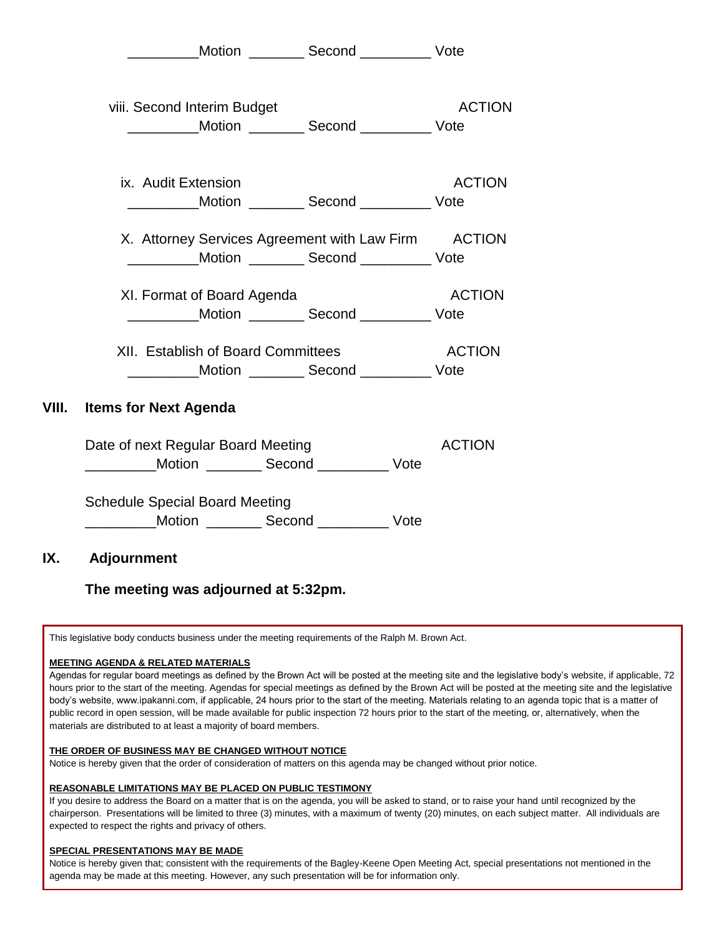Motion **Second** Vote viii. Second Interim Budget ACTION \_\_\_\_\_\_\_\_\_Motion \_\_\_\_\_\_\_ Second \_\_\_\_\_\_\_\_\_ Vote ix. Audit Extension **ACTION** \_\_\_\_\_\_\_\_\_Motion \_\_\_\_\_\_\_ Second \_\_\_\_\_\_\_\_\_ Vote X. Attorney Services Agreement with Law Firm ACTION \_\_\_\_\_\_\_\_\_Motion \_\_\_\_\_\_\_ Second \_\_\_\_\_\_\_\_\_ Vote XI. Format of Board Agenda ACTION \_\_\_\_\_\_\_\_\_Motion \_\_\_\_\_\_\_ Second \_\_\_\_\_\_\_\_\_ Vote XII. Establish of Board Committees ACTION Motion **Second** Vote **VIII. Items for Next Agenda** Date of next Regular Board Meeting Manuscriptus ACTION \_\_\_\_\_\_\_\_\_Motion \_\_\_\_\_\_\_ Second \_\_\_\_\_\_\_\_\_ Vote Schedule Special Board Meeting \_\_\_\_\_\_\_\_\_Motion \_\_\_\_\_\_\_ Second \_\_\_\_\_\_\_\_\_ Vote

### **IX. Adjournment**

### **The meeting was adjourned at 5:32pm.**

This legislative body conducts business under the meeting requirements of the Ralph M. Brown Act.

#### **MEETING AGENDA & RELATED MATERIALS**

Agendas for regular board meetings as defined by the Brown Act will be posted at the meeting site and the legislative body's website, if applicable, 72 hours prior to the start of the meeting. Agendas for special meetings as defined by the Brown Act will be posted at the meeting site and the legislative body's website, www.ipakanni.com, if applicable, 24 hours prior to the start of the meeting. Materials relating to an agenda topic that is a matter of public record in open session, will be made available for public inspection 72 hours prior to the start of the meeting, or, alternatively, when the materials are distributed to at least a majority of board members.

#### **THE ORDER OF BUSINESS MAY BE CHANGED WITHOUT NOTICE**

Notice is hereby given that the order of consideration of matters on this agenda may be changed without prior notice.

#### **REASONABLE LIMITATIONS MAY BE PLACED ON PUBLIC TESTIMONY**

If you desire to address the Board on a matter that is on the agenda, you will be asked to stand, or to raise your hand until recognized by the chairperson. Presentations will be limited to three (3) minutes, with a maximum of twenty (20) minutes, on each subject matter. All individuals are expected to respect the rights and privacy of others.

#### **SPECIAL PRESENTATIONS MAY BE MADE**

Notice is hereby given that; consistent with the requirements of the Bagley-Keene Open Meeting Act, special presentations not mentioned in the agenda may be made at this meeting. However, any such presentation will be for information only.